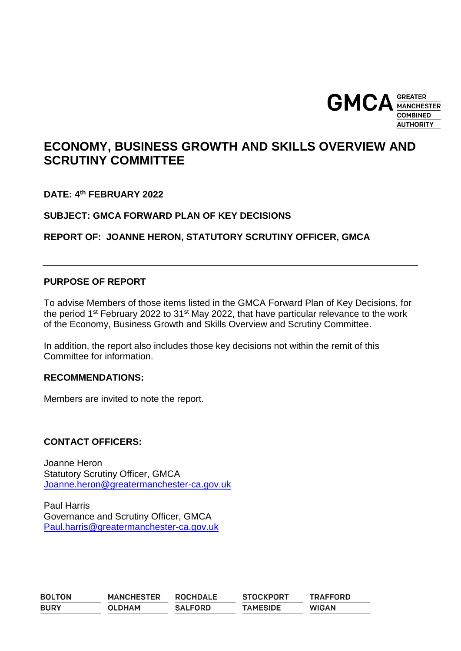

# **ECONOMY, BUSINESS GROWTH AND SKILLS OVERVIEW AND SCRUTINY COMMITTEE**

**DATE: 4 th FEBRUARY 2022**

**SUBJECT: GMCA FORWARD PLAN OF KEY DECISIONS**

**REPORT OF: JOANNE HERON, STATUTORY SCRUTINY OFFICER, GMCA**

# **PURPOSE OF REPORT**

To advise Members of those items listed in the GMCA Forward Plan of Key Decisions, for the period 1<sup>st</sup> February 2022 to 31<sup>st</sup> May 2022, that have particular relevance to the work of the Economy, Business Growth and Skills Overview and Scrutiny Committee.

In addition, the report also includes those key decisions not within the remit of this Committee for information.

# **RECOMMENDATIONS:**

Members are invited to note the report.

# **CONTACT OFFICERS:**

Joanne Heron Statutory Scrutiny Officer, GMCA [Joanne.heron@greatermanchester-ca.gov.uk](mailto:Joanne.heron@greatermanchester-ca.gov.uk)

Paul Harris Governance and Scrutiny Officer, GMCA [Paul.harris@greatermanchester-ca.gov.uk](mailto:Paul.harris@greatermanchester-ca.gov.uk)

| <b>BOLTON</b> | <b>MANCHESTER</b> | <b>ROCHDALE</b> | <b>STOCKPORT</b> | <b>TRAFFORD</b> |
|---------------|-------------------|-----------------|------------------|-----------------|
| <b>BURY</b>   | <b>OLDHAM</b>     | <b>SALFORD</b>  | <b>TAMESIDE</b>  | <b>WIGAN</b>    |